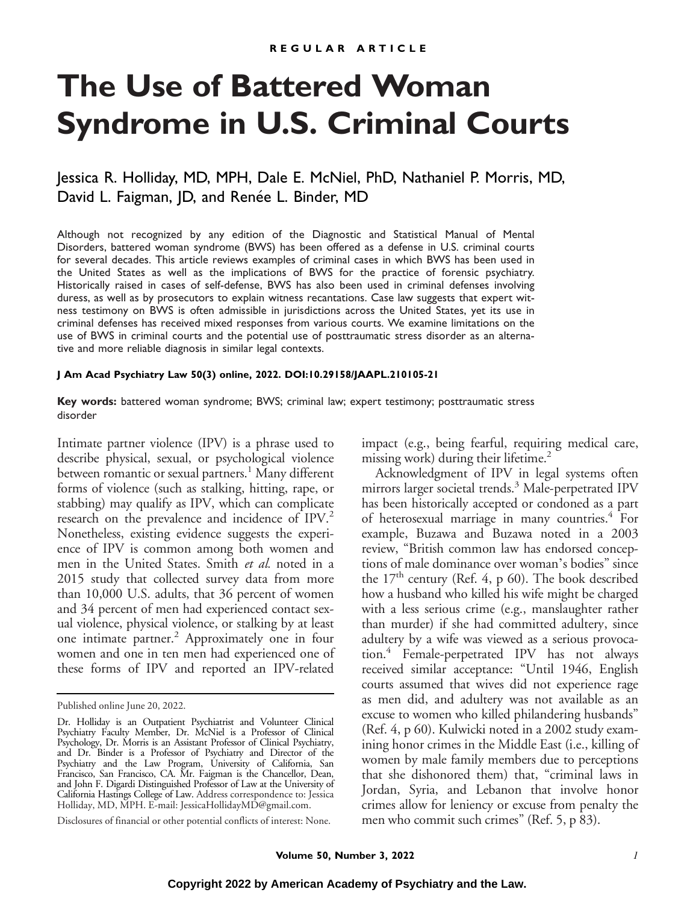# **The Use of Battered Woman Syndrome in U.S. Criminal Courts**

# Jessica R. Holliday, MD, MPH, Dale E. McNiel, PhD, Nathaniel P. Morris, MD, David L. Faigman, JD, and Renée L. Binder, MD

Although not recognized by any edition of the Diagnostic and Statistical Manual of Mental Disorders, battered woman syndrome (BWS) has been offered as a defense in U.S. criminal courts for several decades. This article reviews examples of criminal cases in which BWS has been used in the United States as well as the implications of BWS for the practice of forensic psychiatry. Historically raised in cases of self-defense, BWS has also been used in criminal defenses involving duress, as well as by prosecutors to explain witness recantations. Case law suggests that expert witness testimony on BWS is often admissible in jurisdictions across the United States, yet its use in criminal defenses has received mixed responses from various courts. We examine limitations on the use of BWS in criminal courts and the potential use of posttraumatic stress disorder as an alternative and more reliable diagnosis in similar legal contexts.

#### **J Am Acad Psychiatry Law 50(3) online, 2022. DOI:10.29158/JAAPL.210105-21**

#### **Key words:** battered woman syndrome; BWS; criminal law; expert testimony; posttraumatic stress disorder

Intimate partner violence (IPV) is a phrase used to describe physical, sexual, or psychological violence between romantic or sexual partners.<sup>1</sup> Many different forms of violence (such as stalking, hitting, rape, or stabbing) may qualify as IPV, which can complicate research on the prevalence and incidence of IPV.<sup>2</sup> Nonetheless, existing evidence suggests the experience of IPV is common among both women and men in the United States. Smith et al. noted in a 2015 study that collected survey data from more than 10,000 U.S. adults, that 36 percent of women and 34 percent of men had experienced contact sexual violence, physical violence, or stalking by at least one intimate partner.2 Approximately one in four women and one in ten men had experienced one of these forms of IPV and reported an IPV-related

Disclosures of financial or other potential conflicts of interest: None.

impact (e.g., being fearful, requiring medical care, missing work) during their lifetime.<sup>2</sup>

Acknowledgment of IPV in legal systems often mirrors larger societal trends.<sup>3</sup> Male-perpetrated IPV has been historically accepted or condoned as a part of heterosexual marriage in many countries.<sup>4</sup> For example, Buzawa and Buzawa noted in a 2003 review, "British common law has endorsed conceptions of male dominance over woman's bodies" since the  $17<sup>th</sup>$  century (Ref. 4, p 60). The book described how a husband who killed his wife might be charged with a less serious crime (e.g., manslaughter rather than murder) if she had committed adultery, since adultery by a wife was viewed as a serious provocation.4 Female-perpetrated IPV has not always received similar acceptance: "Until 1946, English courts assumed that wives did not experience rage as men did, and adultery was not available as an excuse to women who killed philandering husbands" (Ref. 4, p 60). Kulwicki noted in a 2002 study examining honor crimes in the Middle East (i.e., killing of women by male family members due to perceptions that she dishonored them) that, "criminal laws in Jordan, Syria, and Lebanon that involve honor crimes allow for leniency or excuse from penalty the men who commit such crimes" (Ref. 5, p 83).

Published online June 20, 2022.

Dr. Holliday is an Outpatient Psychiatrist and Volunteer Clinical Psychiatry Faculty Member, Dr. McNiel is a Professor of Clinical Psychology, Dr. Morris is an Assistant Professor of Clinical Psychiatry, and Dr. Binder is a Professor of Psychiatry and Director of the Psychiatry and the Law Program, University of California, San Francisco, San Francisco, CA. Mr. Faigman is the Chancellor, Dean, and John F. Digardi Distinguished Professor of Law at the University of California Hastings College of Law. Address correspondence to: Jessica Holliday, MD, MPH. E-mail: [JessicaHollidayMD@gmail.com.](mailto:JessicaHollidayMD@gmail.com)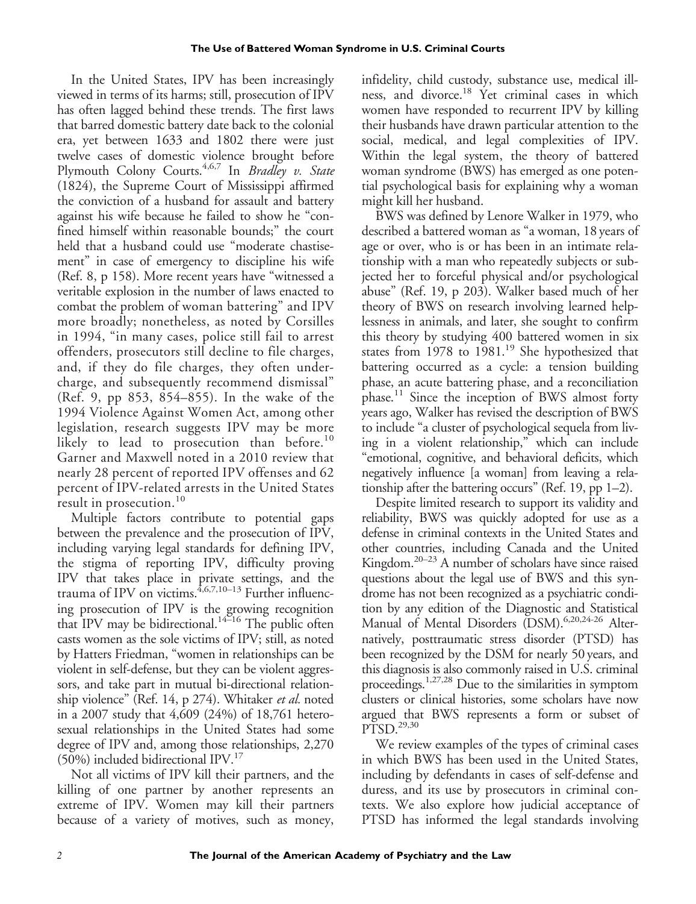In the United States, IPV has been increasingly viewed in terms of its harms; still, prosecution of IPV has often lagged behind these trends. The first laws that barred domestic battery date back to the colonial era, yet between 1633 and 1802 there were just twelve cases of domestic violence brought before Plymouth Colony Courts.<sup>4,6,7</sup> In Bradley v. State (1824), the Supreme Court of Mississippi affirmed the conviction of a husband for assault and battery against his wife because he failed to show he "confined himself within reasonable bounds;" the court held that a husband could use "moderate chastisement" in case of emergency to discipline his wife (Ref. 8, p 158). More recent years have "witnessed a veritable explosion in the number of laws enacted to combat the problem of woman battering" and IPV more broadly; nonetheless, as noted by Corsilles in 1994, "in many cases, police still fail to arrest offenders, prosecutors still decline to file charges, and, if they do file charges, they often undercharge, and subsequently recommend dismissal" (Ref. 9, pp 853, 854–855). In the wake of the 1994 Violence Against Women Act, among other legislation, research suggests IPV may be more likely to lead to prosecution than before.<sup>10</sup> Garner and Maxwell noted in a 2010 review that nearly 28 percent of reported IPV offenses and 62 percent of IPV-related arrests in the United States result in prosecution.<sup>10</sup>

Multiple factors contribute to potential gaps between the prevalence and the prosecution of IPV, including varying legal standards for defining IPV, the stigma of reporting IPV, difficulty proving IPV that takes place in private settings, and the trauma of IPV on victims.<sup>4,6,7,10-13</sup> Further influencing prosecution of IPV is the growing recognition that IPV may be bidirectional.<sup>14–16</sup> The public often casts women as the sole victims of IPV; still, as noted by Hatters Friedman, "women in relationships can be violent in self-defense, but they can be violent aggressors, and take part in mutual bi-directional relationship violence" (Ref. 14, p 274). Whitaker et al. noted in a 2007 study that 4,609 (24%) of 18,761 heterosexual relationships in the United States had some degree of IPV and, among those relationships, 2,270  $(50\%)$  included bidirectional IPV.<sup>17</sup>

Not all victims of IPV kill their partners, and the killing of one partner by another represents an extreme of IPV. Women may kill their partners because of a variety of motives, such as money,

infidelity, child custody, substance use, medical illness, and divorce.18 Yet criminal cases in which women have responded to recurrent IPV by killing their husbands have drawn particular attention to the social, medical, and legal complexities of IPV. Within the legal system, the theory of battered woman syndrome (BWS) has emerged as one potential psychological basis for explaining why a woman might kill her husband.

BWS was defined by Lenore Walker in 1979, who described a battered woman as "a woman, 18 years of age or over, who is or has been in an intimate relationship with a man who repeatedly subjects or subjected her to forceful physical and/or psychological abuse" (Ref. 19, p 203). Walker based much of her theory of BWS on research involving learned helplessness in animals, and later, she sought to confirm this theory by studying 400 battered women in six states from 1978 to 1981.<sup>19</sup> She hypothesized that battering occurred as a cycle: a tension building phase, an acute battering phase, and a reconciliation phase.<sup>11</sup> Since the inception of BWS almost forty years ago, Walker has revised the description of BWS to include "a cluster of psychological sequela from living in a violent relationship," which can include "emotional, cognitive, and behavioral deficits, which negatively influence [a woman] from leaving a relationship after the battering occurs" (Ref. 19, pp 1–2).

Despite limited research to support its validity and reliability, BWS was quickly adopted for use as a defense in criminal contexts in the United States and other countries, including Canada and the United Kingdom. $20-23$  A number of scholars have since raised questions about the legal use of BWS and this syndrome has not been recognized as a psychiatric condition by any edition of the Diagnostic and Statistical Manual of Mental Disorders (DSM).<sup>6,20,24-26</sup> Alternatively, posttraumatic stress disorder (PTSD) has been recognized by the DSM for nearly 50 years, and this diagnosis is also commonly raised in U.S. criminal proceedings.1,27,28 Due to the similarities in symptom clusters or clinical histories, some scholars have now argued that BWS represents a form or subset of  $P\overline{TS}D.^{29,30}$ 

We review examples of the types of criminal cases in which BWS has been used in the United States, including by defendants in cases of self-defense and duress, and its use by prosecutors in criminal contexts. We also explore how judicial acceptance of PTSD has informed the legal standards involving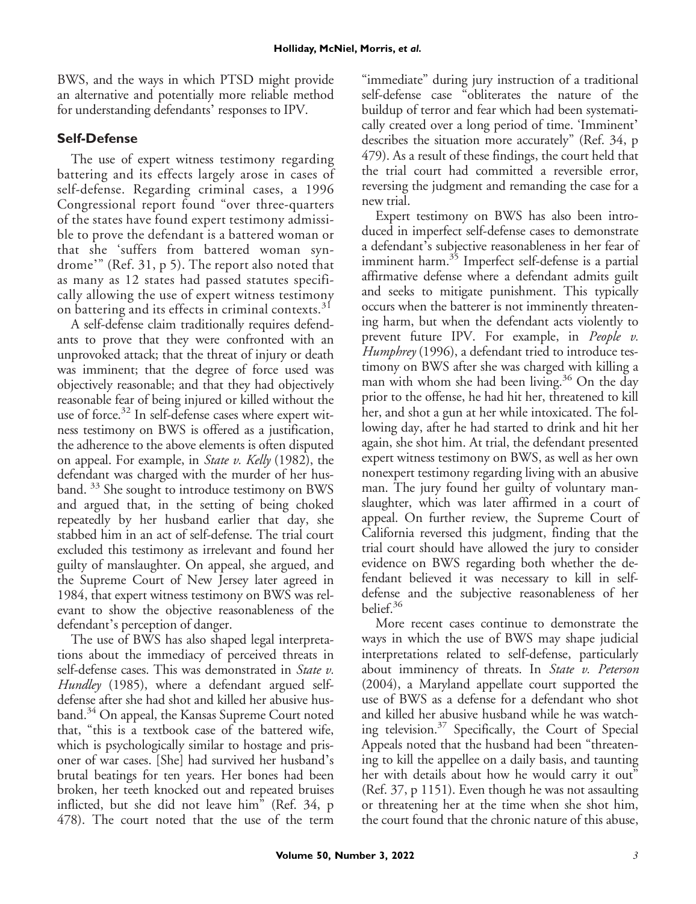BWS, and the ways in which PTSD might provide an alternative and potentially more reliable method for understanding defendants' responses to IPV.

## **Self-Defense**

The use of expert witness testimony regarding battering and its effects largely arose in cases of self-defense. Regarding criminal cases, a 1996 Congressional report found "over three-quarters of the states have found expert testimony admissible to prove the defendant is a battered woman or that she 'suffers from battered woman syndrome'" (Ref. 31, p 5). The report also noted that as many as 12 states had passed statutes specifically allowing the use of expert witness testimony on battering and its effects in criminal contexts.<sup>31</sup>

A self-defense claim traditionally requires defendants to prove that they were confronted with an unprovoked attack; that the threat of injury or death was imminent; that the degree of force used was objectively reasonable; and that they had objectively reasonable fear of being injured or killed without the use of force.<sup>32</sup> In self-defense cases where expert witness testimony on BWS is offered as a justification, the adherence to the above elements is often disputed on appeal. For example, in State v. Kelly (1982), the defendant was charged with the murder of her husband. <sup>33</sup> She sought to introduce testimony on BWS and argued that, in the setting of being choked repeatedly by her husband earlier that day, she stabbed him in an act of self-defense. The trial court excluded this testimony as irrelevant and found her guilty of manslaughter. On appeal, she argued, and the Supreme Court of New Jersey later agreed in 1984, that expert witness testimony on BWS was relevant to show the objective reasonableness of the defendant's perception of danger.

The use of BWS has also shaped legal interpretations about the immediacy of perceived threats in self-defense cases. This was demonstrated in State v. Hundley (1985), where a defendant argued selfdefense after she had shot and killed her abusive husband.<sup>34</sup> On appeal, the Kansas Supreme Court noted that, "this is a textbook case of the battered wife, which is psychologically similar to hostage and prisoner of war cases. [She] had survived her husband's brutal beatings for ten years. Her bones had been broken, her teeth knocked out and repeated bruises inflicted, but she did not leave him" (Ref. 34, p 478). The court noted that the use of the term

"immediate" during jury instruction of a traditional self-defense case "obliterates the nature of the buildup of terror and fear which had been systematically created over a long period of time. 'Imminent' describes the situation more accurately" (Ref. 34, p 479). As a result of these findings, the court held that the trial court had committed a reversible error, reversing the judgment and remanding the case for a new trial.

Expert testimony on BWS has also been introduced in imperfect self-defense cases to demonstrate a defendant's subjective reasonableness in her fear of imminent harm.<sup>35</sup> Imperfect self-defense is a partial affirmative defense where a defendant admits guilt and seeks to mitigate punishment. This typically occurs when the batterer is not imminently threatening harm, but when the defendant acts violently to prevent future IPV. For example, in People v. Humphrey (1996), a defendant tried to introduce testimony on BWS after she was charged with killing a man with whom she had been living.<sup>36</sup> On the day prior to the offense, he had hit her, threatened to kill her, and shot a gun at her while intoxicated. The following day, after he had started to drink and hit her again, she shot him. At trial, the defendant presented expert witness testimony on BWS, as well as her own nonexpert testimony regarding living with an abusive man. The jury found her guilty of voluntary manslaughter, which was later affirmed in a court of appeal. On further review, the Supreme Court of California reversed this judgment, finding that the trial court should have allowed the jury to consider evidence on BWS regarding both whether the defendant believed it was necessary to kill in selfdefense and the subjective reasonableness of her belief.<sup>36</sup>

More recent cases continue to demonstrate the ways in which the use of BWS may shape judicial interpretations related to self-defense, particularly about imminency of threats. In State v. Peterson (2004), a Maryland appellate court supported the use of BWS as a defense for a defendant who shot and killed her abusive husband while he was watching television.<sup>37</sup> Specifically, the Court of Special Appeals noted that the husband had been "threatening to kill the appellee on a daily basis, and taunting her with details about how he would carry it out" (Ref. 37, p 1151). Even though he was not assaulting or threatening her at the time when she shot him, the court found that the chronic nature of this abuse,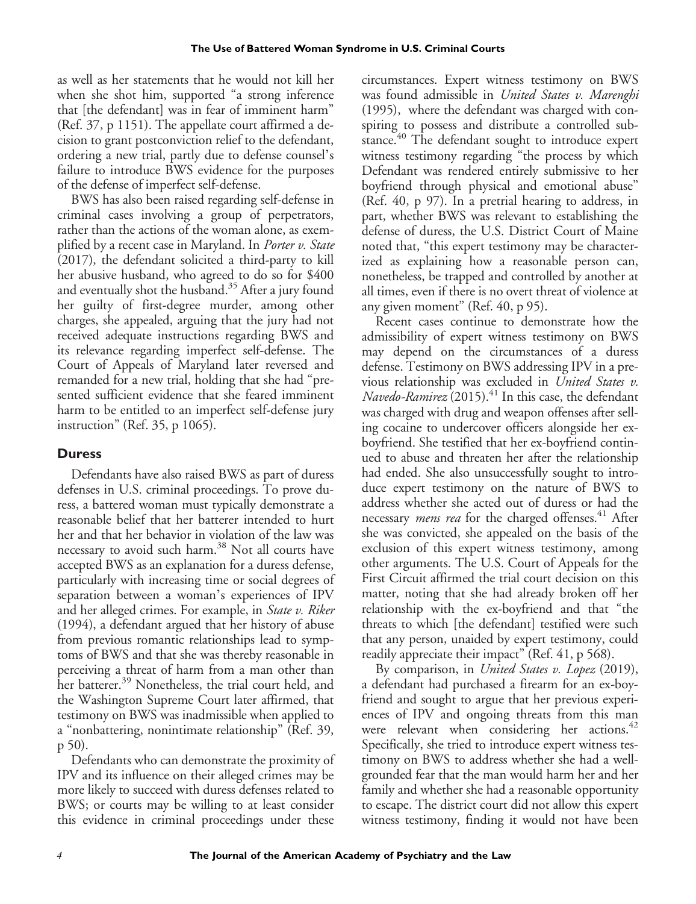as well as her statements that he would not kill her when she shot him, supported "a strong inference that [the defendant] was in fear of imminent harm" (Ref. 37, p 1151). The appellate court affirmed a decision to grant postconviction relief to the defendant, ordering a new trial, partly due to defense counsel's failure to introduce BWS evidence for the purposes of the defense of imperfect self-defense.

BWS has also been raised regarding self-defense in criminal cases involving a group of perpetrators, rather than the actions of the woman alone, as exemplified by a recent case in Maryland. In *Porter v. State* (2017), the defendant solicited a third-party to kill her abusive husband, who agreed to do so for \$400 and eventually shot the husband. $35$  After a jury found her guilty of first-degree murder, among other charges, she appealed, arguing that the jury had not received adequate instructions regarding BWS and its relevance regarding imperfect self-defense. The Court of Appeals of Maryland later reversed and remanded for a new trial, holding that she had "presented sufficient evidence that she feared imminent harm to be entitled to an imperfect self-defense jury instruction" (Ref. 35, p 1065).

### **Duress**

Defendants have also raised BWS as part of duress defenses in U.S. criminal proceedings. To prove duress, a battered woman must typically demonstrate a reasonable belief that her batterer intended to hurt her and that her behavior in violation of the law was necessary to avoid such harm.<sup>38</sup> Not all courts have accepted BWS as an explanation for a duress defense, particularly with increasing time or social degrees of separation between a woman's experiences of IPV and her alleged crimes. For example, in State v. Riker (1994), a defendant argued that her history of abuse from previous romantic relationships lead to symptoms of BWS and that she was thereby reasonable in perceiving a threat of harm from a man other than her batterer.<sup>39</sup> Nonetheless, the trial court held, and the Washington Supreme Court later affirmed, that testimony on BWS was inadmissible when applied to a "nonbattering, nonintimate relationship" (Ref. 39, p 50).

Defendants who can demonstrate the proximity of IPV and its influence on their alleged crimes may be more likely to succeed with duress defenses related to BWS; or courts may be willing to at least consider this evidence in criminal proceedings under these

circumstances. Expert witness testimony on BWS was found admissible in United States v. Marenghi (1995), where the defendant was charged with conspiring to possess and distribute a controlled substance.<sup>40</sup> The defendant sought to introduce expert witness testimony regarding "the process by which Defendant was rendered entirely submissive to her boyfriend through physical and emotional abuse" (Ref. 40, p 97). In a pretrial hearing to address, in part, whether BWS was relevant to establishing the defense of duress, the U.S. District Court of Maine noted that, "this expert testimony may be characterized as explaining how a reasonable person can, nonetheless, be trapped and controlled by another at all times, even if there is no overt threat of violence at any given moment" (Ref. 40, p 95).

Recent cases continue to demonstrate how the admissibility of expert witness testimony on BWS may depend on the circumstances of a duress defense. Testimony on BWS addressing IPV in a previous relationship was excluded in United States v.  $Navedo-Ramirez$  (2015). $^{41}$  In this case, the defendant was charged with drug and weapon offenses after selling cocaine to undercover officers alongside her exboyfriend. She testified that her ex-boyfriend continued to abuse and threaten her after the relationship had ended. She also unsuccessfully sought to introduce expert testimony on the nature of BWS to address whether she acted out of duress or had the necessary *mens rea* for the charged offenses.<sup>41</sup> After she was convicted, she appealed on the basis of the exclusion of this expert witness testimony, among other arguments. The U.S. Court of Appeals for the First Circuit affirmed the trial court decision on this matter, noting that she had already broken off her relationship with the ex-boyfriend and that "the threats to which [the defendant] testified were such that any person, unaided by expert testimony, could readily appreciate their impact" (Ref. 41, p 568).

By comparison, in *United States v. Lopez* (2019), a defendant had purchased a firearm for an ex-boyfriend and sought to argue that her previous experiences of IPV and ongoing threats from this man were relevant when considering her actions. $42$ Specifically, she tried to introduce expert witness testimony on BWS to address whether she had a wellgrounded fear that the man would harm her and her family and whether she had a reasonable opportunity to escape. The district court did not allow this expert witness testimony, finding it would not have been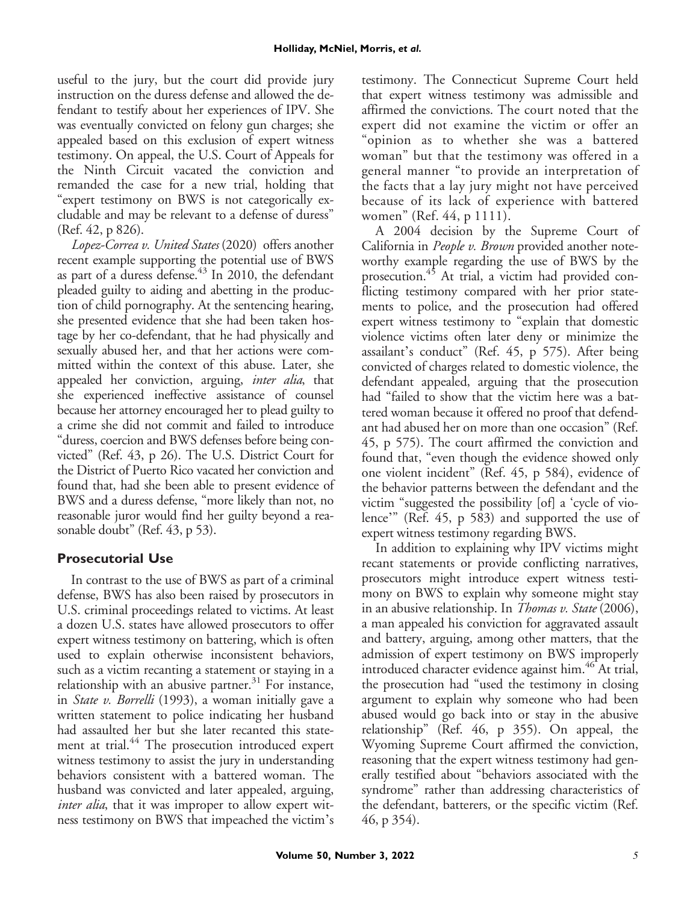useful to the jury, but the court did provide jury instruction on the duress defense and allowed the defendant to testify about her experiences of IPV. She was eventually convicted on felony gun charges; she appealed based on this exclusion of expert witness testimony. On appeal, the U.S. Court of Appeals for the Ninth Circuit vacated the conviction and remanded the case for a new trial, holding that "expert testimony on BWS is not categorically excludable and may be relevant to a defense of duress" (Ref. 42, p 826).

Lopez-Correa v. United States (2020) offers another recent example supporting the potential use of BWS as part of a duress defense. $43$  In 2010, the defendant pleaded guilty to aiding and abetting in the production of child pornography. At the sentencing hearing, she presented evidence that she had been taken hostage by her co-defendant, that he had physically and sexually abused her, and that her actions were committed within the context of this abuse. Later, she appealed her conviction, arguing, *inter alia*, that she experienced ineffective assistance of counsel because her attorney encouraged her to plead guilty to a crime she did not commit and failed to introduce "duress, coercion and BWS defenses before being convicted" (Ref. 43, p 26). The U.S. District Court for the District of Puerto Rico vacated her conviction and found that, had she been able to present evidence of BWS and a duress defense, "more likely than not, no reasonable juror would find her guilty beyond a reasonable doubt" (Ref. 43, p 53).

### **Prosecutorial Use**

In contrast to the use of BWS as part of a criminal defense, BWS has also been raised by prosecutors in U.S. criminal proceedings related to victims. At least a dozen U.S. states have allowed prosecutors to offer expert witness testimony on battering, which is often used to explain otherwise inconsistent behaviors, such as a victim recanting a statement or staying in a relationship with an abusive partner. $31$  For instance, in State v. Borrelli (1993), a woman initially gave a written statement to police indicating her husband had assaulted her but she later recanted this statement at trial.<sup>44</sup> The prosecution introduced expert witness testimony to assist the jury in understanding behaviors consistent with a battered woman. The husband was convicted and later appealed, arguing, inter alia, that it was improper to allow expert witness testimony on BWS that impeached the victim's testimony. The Connecticut Supreme Court held that expert witness testimony was admissible and affirmed the convictions. The court noted that the expert did not examine the victim or offer an "opinion as to whether she was a battered woman" but that the testimony was offered in a general manner "to provide an interpretation of the facts that a lay jury might not have perceived because of its lack of experience with battered women" (Ref. 44, p 1111).

A 2004 decision by the Supreme Court of California in People v. Brown provided another noteworthy example regarding the use of BWS by the prosecution.<sup>45</sup> At trial, a victim had provided conflicting testimony compared with her prior statements to police, and the prosecution had offered expert witness testimony to "explain that domestic violence victims often later deny or minimize the assailant's conduct" (Ref. 45, p 575). After being convicted of charges related to domestic violence, the defendant appealed, arguing that the prosecution had "failed to show that the victim here was a battered woman because it offered no proof that defendant had abused her on more than one occasion" (Ref. 45, p 575). The court affirmed the conviction and found that, "even though the evidence showed only one violent incident" (Ref. 45, p 584), evidence of the behavior patterns between the defendant and the victim "suggested the possibility [of] a 'cycle of violence'" (Ref. 45, p 583) and supported the use of expert witness testimony regarding BWS.

In addition to explaining why IPV victims might recant statements or provide conflicting narratives, prosecutors might introduce expert witness testimony on BWS to explain why someone might stay in an abusive relationship. In *Thomas v. State* (2006), a man appealed his conviction for aggravated assault and battery, arguing, among other matters, that the admission of expert testimony on BWS improperly introduced character evidence against him.<sup>46</sup> At trial, the prosecution had "used the testimony in closing argument to explain why someone who had been abused would go back into or stay in the abusive relationship" (Ref. 46, p 355). On appeal, the Wyoming Supreme Court affirmed the conviction, reasoning that the expert witness testimony had generally testified about "behaviors associated with the syndrome" rather than addressing characteristics of the defendant, batterers, or the specific victim (Ref. 46, p 354).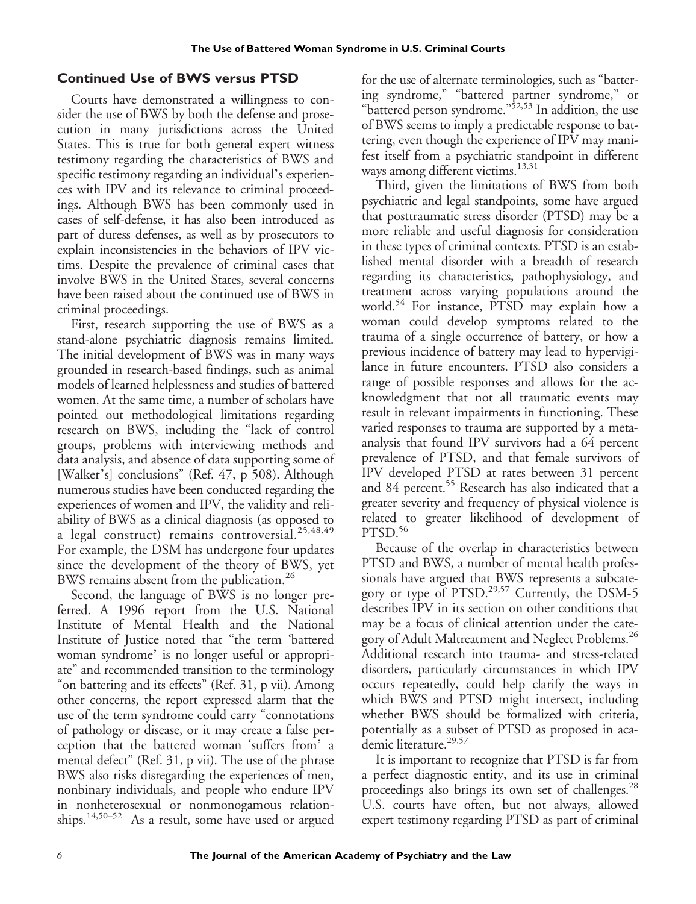## **Continued Use of BWS versus PTSD**

Courts have demonstrated a willingness to consider the use of BWS by both the defense and prosecution in many jurisdictions across the United States. This is true for both general expert witness testimony regarding the characteristics of BWS and specific testimony regarding an individual's experiences with IPV and its relevance to criminal proceedings. Although BWS has been commonly used in cases of self-defense, it has also been introduced as part of duress defenses, as well as by prosecutors to explain inconsistencies in the behaviors of IPV victims. Despite the prevalence of criminal cases that involve BWS in the United States, several concerns have been raised about the continued use of BWS in criminal proceedings.

First, research supporting the use of BWS as a stand-alone psychiatric diagnosis remains limited. The initial development of BWS was in many ways grounded in research-based findings, such as animal models of learned helplessness and studies of battered women. At the same time, a number of scholars have pointed out methodological limitations regarding research on BWS, including the "lack of control groups, problems with interviewing methods and data analysis, and absence of data supporting some of [Walker's] conclusions" (Ref. 47, p 508). Although numerous studies have been conducted regarding the experiences of women and IPV, the validity and reliability of BWS as a clinical diagnosis (as opposed to a legal construct) remains controversial.<sup>25,48,49</sup> For example, the DSM has undergone four updates since the development of the theory of BWS, yet BWS remains absent from the publication.<sup>26</sup>

Second, the language of BWS is no longer preferred. A 1996 report from the U.S. National Institute of Mental Health and the National Institute of Justice noted that "the term 'battered woman syndrome' is no longer useful or appropriate" and recommended transition to the terminology "on battering and its effects" (Ref. 31, p vii). Among other concerns, the report expressed alarm that the use of the term syndrome could carry "connotations of pathology or disease, or it may create a false perception that the battered woman 'suffers from' a mental defect" (Ref. 31, p vii). The use of the phrase BWS also risks disregarding the experiences of men, nonbinary individuals, and people who endure IPV in nonheterosexual or nonmonogamous relationships.14,50–<sup>52</sup> As a result, some have used or argued

for the use of alternate terminologies, such as "battering syndrome," "battered partner syndrome," or "battered person syndrome."<sup>52,53</sup> In addition, the use of BWS seems to imply a predictable response to battering, even though the experience of IPV may manifest itself from a psychiatric standpoint in different ways among different victims.<sup>13,31</sup>

Third, given the limitations of BWS from both psychiatric and legal standpoints, some have argued that posttraumatic stress disorder (PTSD) may be a more reliable and useful diagnosis for consideration in these types of criminal contexts. PTSD is an established mental disorder with a breadth of research regarding its characteristics, pathophysiology, and treatment across varying populations around the world.<sup>54</sup> For instance, PTSD may explain how a woman could develop symptoms related to the trauma of a single occurrence of battery, or how a previous incidence of battery may lead to hypervigilance in future encounters. PTSD also considers a range of possible responses and allows for the acknowledgment that not all traumatic events may result in relevant impairments in functioning. These varied responses to trauma are supported by a metaanalysis that found IPV survivors had a 64 percent prevalence of PTSD, and that female survivors of IPV developed PTSD at rates between 31 percent and 84 percent.<sup>55</sup> Research has also indicated that a greater severity and frequency of physical violence is related to greater likelihood of development of PTSD.<sup>56</sup>

Because of the overlap in characteristics between PTSD and BWS, a number of mental health professionals have argued that BWS represents a subcategory or type of PTSD.<sup>29,57</sup> Currently, the DSM-5 describes IPV in its section on other conditions that may be a focus of clinical attention under the category of Adult Maltreatment and Neglect Problems.<sup>26</sup> Additional research into trauma- and stress-related disorders, particularly circumstances in which IPV occurs repeatedly, could help clarify the ways in which BWS and PTSD might intersect, including whether BWS should be formalized with criteria, potentially as a subset of PTSD as proposed in academic literature.<sup>29,57</sup>

It is important to recognize that PTSD is far from a perfect diagnostic entity, and its use in criminal proceedings also brings its own set of challenges.<sup>28</sup> U.S. courts have often, but not always, allowed expert testimony regarding PTSD as part of criminal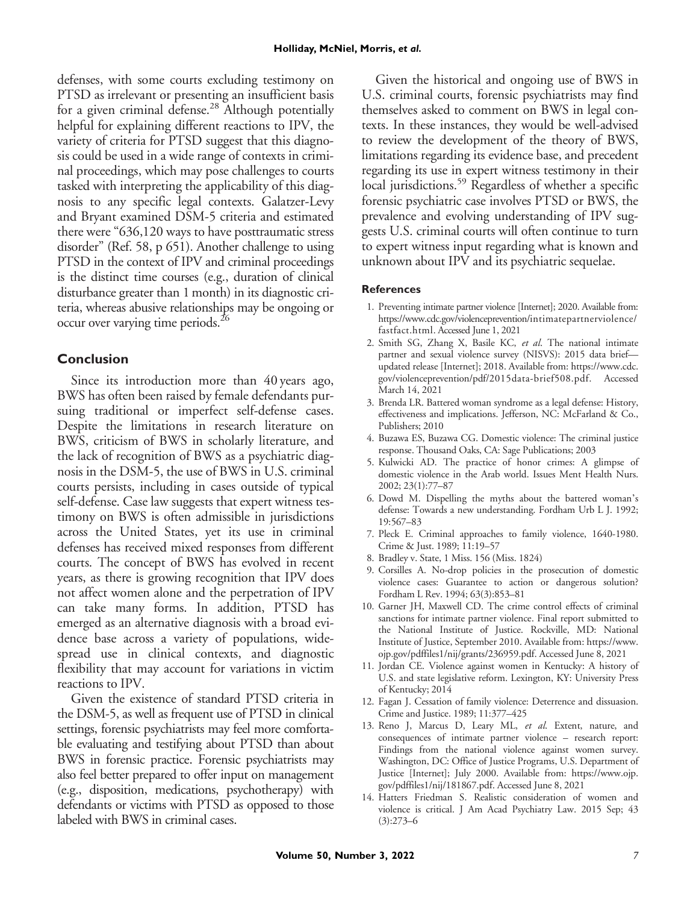defenses, with some courts excluding testimony on PTSD as irrelevant or presenting an insufficient basis for a given criminal defense.<sup>28</sup> Although potentially helpful for explaining different reactions to IPV, the variety of criteria for PTSD suggest that this diagnosis could be used in a wide range of contexts in criminal proceedings, which may pose challenges to courts tasked with interpreting the applicability of this diagnosis to any specific legal contexts. Galatzer-Levy and Bryant examined DSM-5 criteria and estimated there were "636,120 ways to have posttraumatic stress disorder" (Ref. 58, p 651). Another challenge to using PTSD in the context of IPV and criminal proceedings is the distinct time courses (e.g., duration of clinical disturbance greater than 1 month) in its diagnostic criteria, whereas abusive relationships may be ongoing or occur over varying time periods.26

#### **Conclusion**

Since its introduction more than 40 years ago, BWS has often been raised by female defendants pursuing traditional or imperfect self-defense cases. Despite the limitations in research literature on BWS, criticism of BWS in scholarly literature, and the lack of recognition of BWS as a psychiatric diagnosis in the DSM-5, the use of BWS in U.S. criminal courts persists, including in cases outside of typical self-defense. Case law suggests that expert witness testimony on BWS is often admissible in jurisdictions across the United States, yet its use in criminal defenses has received mixed responses from different courts. The concept of BWS has evolved in recent years, as there is growing recognition that IPV does not affect women alone and the perpetration of IPV can take many forms. In addition, PTSD has emerged as an alternative diagnosis with a broad evidence base across a variety of populations, widespread use in clinical contexts, and diagnostic flexibility that may account for variations in victim reactions to IPV.

Given the existence of standard PTSD criteria in the DSM-5, as well as frequent use of PTSD in clinical settings, forensic psychiatrists may feel more comfortable evaluating and testifying about PTSD than about BWS in forensic practice. Forensic psychiatrists may also feel better prepared to offer input on management (e.g., disposition, medications, psychotherapy) with defendants or victims with PTSD as opposed to those labeled with BWS in criminal cases.

Given the historical and ongoing use of BWS in U.S. criminal courts, forensic psychiatrists may find themselves asked to comment on BWS in legal contexts. In these instances, they would be well-advised to review the development of the theory of BWS, limitations regarding its evidence base, and precedent regarding its use in expert witness testimony in their local jurisdictions.<sup>59</sup> Regardless of whether a specific forensic psychiatric case involves PTSD or BWS, the prevalence and evolving understanding of IPV suggests U.S. criminal courts will often continue to turn to expert witness input regarding what is known and unknown about IPV and its psychiatric sequelae.

#### **References**

- 1. Preventing intimate partner violence [Internet]; 2020. Available from: [https://www.cdc.gov/violenceprevention/intimatepartnerviolence/](https://www.cdc.gov/violenceprevention/intimatepartnerviolence/fastfact.html) [fastfact.html.](https://www.cdc.gov/violenceprevention/intimatepartnerviolence/fastfact.html) Accessed June 1, 2021
- 2. Smith SG, Zhang X, Basile KC, et al. The national intimate partner and sexual violence survey (NISVS): 2015 data brief updated release [Internet]; 2018. Available from: [https://www.cdc.](https://www.cdc.gov/violenceprevention/pdf/2015data-brief508.pdf) [gov/violenceprevention/pdf/2015data-brief508.pdf.](https://www.cdc.gov/violenceprevention/pdf/2015data-brief508.pdf) Accessed March 14, 2021
- 3. Brenda LR. Battered woman syndrome as a legal defense: History, effectiveness and implications. Jefferson, NC: McFarland & Co., Publishers; 2010
- 4. Buzawa ES, Buzawa CG. Domestic violence: The criminal justice response. Thousand Oaks, CA: Sage Publications; 2003
- 5. Kulwicki AD. The practice of honor crimes: A glimpse of domestic violence in the Arab world. Issues Ment Health Nurs. 2002; 23(1):77–87
- 6. Dowd M. Dispelling the myths about the battered woman's defense: Towards a new understanding. Fordham Urb L J. 1992; 19:567–83
- 7. Pleck E. Criminal approaches to family violence, 1640-1980. Crime & Just. 1989; 11:19–57
- 8. Bradley v. State, 1 Miss. 156 (Miss. 1824)
- 9. Corsilles A. No-drop policies in the prosecution of domestic violence cases: Guarantee to action or dangerous solution? Fordham L Rev. 1994; 63(3):853–81
- 10. Garner JH, Maxwell CD. The crime control effects of criminal sanctions for intimate partner violence. Final report submitted to the National Institute of Justice. Rockville, MD: National Institute of Justice, September 2010. Available from: [https://www.](https://www.ojp.gov/pdffiles1/nij/grants/236959.pdf) [ojp.gov/pdffiles1/nij/grants/236959.pdf](https://www.ojp.gov/pdffiles1/nij/grants/236959.pdf). Accessed June 8, 2021
- 11. Jordan CE. Violence against women in Kentucky: A history of U.S. and state legislative reform. Lexington, KY: University Press of Kentucky; 2014
- 12. Fagan J. Cessation of family violence: Deterrence and dissuasion. Crime and Justice. 1989; 11:377–425
- 13. Reno J, Marcus D, Leary ML, et al. Extent, nature, and consequences of intimate partner violence – research report: Findings from the national violence against women survey. Washington, DC: Office of Justice Programs, U.S. Department of Justice [Internet]; July 2000. Available from: [https://www.ojp.](https://www.ojp.gov/pdffiles1/nij/181867.pdf) [gov/pdffiles1/nij/181867.pdf.](https://www.ojp.gov/pdffiles1/nij/181867.pdf) Accessed June 8, 2021
- 14. Hatters Friedman S. Realistic consideration of women and violence is critical. J Am Acad Psychiatry Law. 2015 Sep; 43 (3):273–6